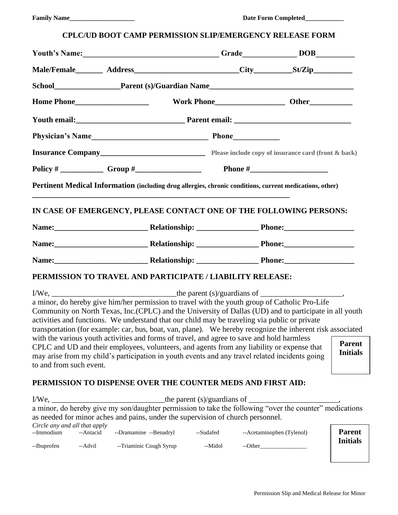# **CPLC/UD BOOT CAMP PERMISSION SLIP/EMERGENCY RELEASE FORM**

| Youth's Name: DOB                                                                                                                                                                                                                                                                                                                                                                                                                                                                                                                                                                                                                                       |           |                           |  |                                  |
|---------------------------------------------------------------------------------------------------------------------------------------------------------------------------------------------------------------------------------------------------------------------------------------------------------------------------------------------------------------------------------------------------------------------------------------------------------------------------------------------------------------------------------------------------------------------------------------------------------------------------------------------------------|-----------|---------------------------|--|----------------------------------|
|                                                                                                                                                                                                                                                                                                                                                                                                                                                                                                                                                                                                                                                         |           |                           |  |                                  |
|                                                                                                                                                                                                                                                                                                                                                                                                                                                                                                                                                                                                                                                         |           |                           |  |                                  |
|                                                                                                                                                                                                                                                                                                                                                                                                                                                                                                                                                                                                                                                         |           |                           |  |                                  |
|                                                                                                                                                                                                                                                                                                                                                                                                                                                                                                                                                                                                                                                         |           |                           |  |                                  |
|                                                                                                                                                                                                                                                                                                                                                                                                                                                                                                                                                                                                                                                         |           |                           |  |                                  |
|                                                                                                                                                                                                                                                                                                                                                                                                                                                                                                                                                                                                                                                         |           |                           |  |                                  |
|                                                                                                                                                                                                                                                                                                                                                                                                                                                                                                                                                                                                                                                         |           |                           |  |                                  |
| Pertinent Medical Information (including drug allergies, chronic conditions, current medications, other)                                                                                                                                                                                                                                                                                                                                                                                                                                                                                                                                                |           |                           |  |                                  |
| IN CASE OF EMERGENCY, PLEASE CONTACT ONE OF THE FOLLOWING PERSONS:                                                                                                                                                                                                                                                                                                                                                                                                                                                                                                                                                                                      |           |                           |  |                                  |
|                                                                                                                                                                                                                                                                                                                                                                                                                                                                                                                                                                                                                                                         |           |                           |  |                                  |
|                                                                                                                                                                                                                                                                                                                                                                                                                                                                                                                                                                                                                                                         |           |                           |  |                                  |
|                                                                                                                                                                                                                                                                                                                                                                                                                                                                                                                                                                                                                                                         |           |                           |  |                                  |
| PERMISSION TO TRAVEL AND PARTICIPATE / LIABILITY RELEASE:                                                                                                                                                                                                                                                                                                                                                                                                                                                                                                                                                                                               |           |                           |  |                                  |
| a minor, do hereby give him/her permission to travel with the youth group of Catholic Pro-Life<br>Community on North Texas, Inc.(CPLC) and the University of Dallas (UD) and to participate in all youth<br>activities and functions. We understand that our child may be traveling via public or private<br>transportation (for example: car, bus, boat, van, plane). We hereby recognize the inherent risk associated<br>with the various youth activities and forms of travel, and agree to save and hold harmless<br><b>Parent</b><br>CPLC and UD and their employees, volunteers, and agents from any liability or expense that<br><b>Initials</b> |           |                           |  |                                  |
| may arise from my child's participation in youth events and any travel related incidents going<br>to and from such event.                                                                                                                                                                                                                                                                                                                                                                                                                                                                                                                               |           |                           |  |                                  |
| PERMISSION TO DISPENSE OVER THE COUNTER MEDS AND FIRST AID:                                                                                                                                                                                                                                                                                                                                                                                                                                                                                                                                                                                             |           |                           |  |                                  |
| as needed for minor aches and pains, under the supervision of church personnel.                                                                                                                                                                                                                                                                                                                                                                                                                                                                                                                                                                         |           |                           |  |                                  |
| Circle any and all that apply<br>--Dramamine --Benadryl<br>--Immodium<br>--Antacid                                                                                                                                                                                                                                                                                                                                                                                                                                                                                                                                                                      | --Sudafed | --Acetaminophen (Tylenol) |  | <b>Parent</b><br><b>Initials</b> |

--Ibuprofen --Advil --Triaminic Cough Syrup --Midol --Other\_